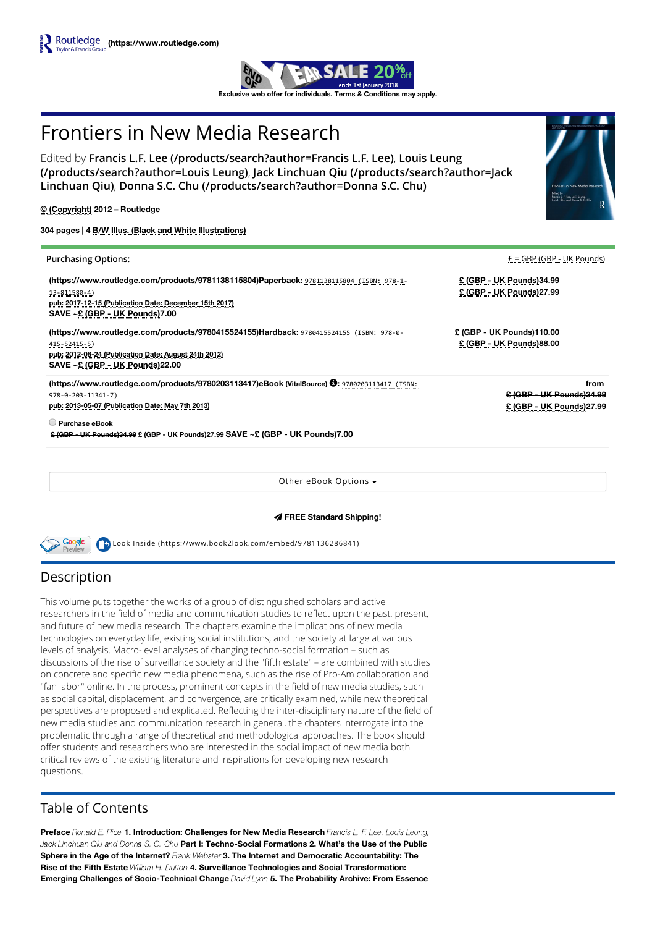

# Frontiers in New Media Research

Edited by [F](https://www.routledge.com/products/search?author=Louis%20Leung)[rancis L.F. Lee \(/products/search?author=Francis L.F. Lee\)](https://www.routledge.com/products/search?author=Francis%20L.F.%20Lee), Louis Leung (/products/search?author=Louis Leung), Jack Linchuan Qiu (/products/search?author=Jack Linchuan Qiu), [Donna S.C. Chu \(/products/search?author=Donna S.C. Chu\)](https://www.routledge.com/products/search?author=Jack%20Linchuan%20Qiu)

© (Copyright) 2012 – Routledge

304 pages | 4 B/W Illus. (Black and White Illustrations)

| <b>Purchasing Options:</b>                                                                       | $E = GBP$ (GBP - UK Pounds)       |
|--------------------------------------------------------------------------------------------------|-----------------------------------|
| (https://www.routledge.com/products/9781138115804)Paperback: 9781138115804 (ISBN: 978-1-         | <u> £ (GBP - UK Pounds)34.99</u>  |
| 13-811580-4)                                                                                     | £ (GBP - UK Pounds)27.99          |
| pub: 2017-12-15 (Publication Date: December 15th 2017)                                           |                                   |
| SAVE ~£ (GBP - UK Pounds)7.00                                                                    |                                   |
| (https://www.routledge.com/products/9780415524155)Hardback: 9780415524155 (ISBN: 978-0-          | <u> £ (GBP - UK Pounds)110.00</u> |
| 415-52415-5)                                                                                     | £ (GBP - UK Pounds)88.00          |
| pub: 2012-08-24 (Publication Date: August 24th 2012)                                             |                                   |
| SAVE ~ £ (GBP - UK Pounds) 22.00                                                                 |                                   |
| (https://www.routledge.com/products/9780203113417)eBook (VitalSource) 0: 9780203113417 (ISBN:    | from                              |
| $978 - 0 - 203 - 11341 - 7$                                                                      | <u> £ (GBP - UK Pounds)34.99</u>  |
| pub: 2013-05-07 (Publication Date: May 7th 2013)                                                 | £ (GBP - UK Pounds)27.99          |
| $\Box$ Purchase eBook                                                                            |                                   |
| <u> E (GBP - UK Pounds)34.99 £ (GBP - UK Pounds)</u> 27.99 SAVE ~£ <u>(GBP - UK Pounds)</u> 7.00 |                                   |
|                                                                                                  |                                   |
|                                                                                                  |                                   |
|                                                                                                  |                                   |

Other eBook Options

FREE Standard Shipping!

Look Inside [\(https://www.book2look.com/embed/9781136286841\)](https://www.book2look.com/embed/9781136286841)

# Description

Google

This volume puts together the works of a group of distinguished scholars and active researchers in the field of media and communication studies to reflect upon the past, present, and future of new media research. The chapters examine the implications of new media technologies on everyday life, existing social institutions, and the society at large at various levels of analysis. Macro-level analyses of changing techno-social formation – such as discussions of the rise of surveillance society and the "fifth estate" – are combined with studies on concrete and specific new media phenomena, such as the rise of Pro-Am collaboration and "fan labor" online. In the process, prominent concepts in the field of new media studies, such as social capital, displacement, and convergence, are critically examined, while new theoretical perspectives are proposed and explicated. Reflecting the inter-disciplinary nature of the field of new media studies and communication research in general, the chapters interrogate into the problematic through a range of theoretical and methodological approaches. The book should offer students and researchers who are interested in the social impact of new media both critical reviews of the existing literature and inspirations for developing new research questions.

# Table of Contents

Preface Ronald E. Rice 1. Introduction: Challenges for New Media Research Francis L. F. Lee, Louis Leung, Jack Linchuan Qiu and Donna S. C. Chu Part I: Techno-Social Formations 2. What's the Use of the Public Sphere in the Age of the Internet? Frank Webster 3. The Internet and Democratic Accountability: The Rise of the Fifth Estate William H. Dutton 4. Surveillance Technologies and Social Transformation: Emerging Challenges of Socio-Technical Change David Lyon 5. The Probability Archive: From Essence